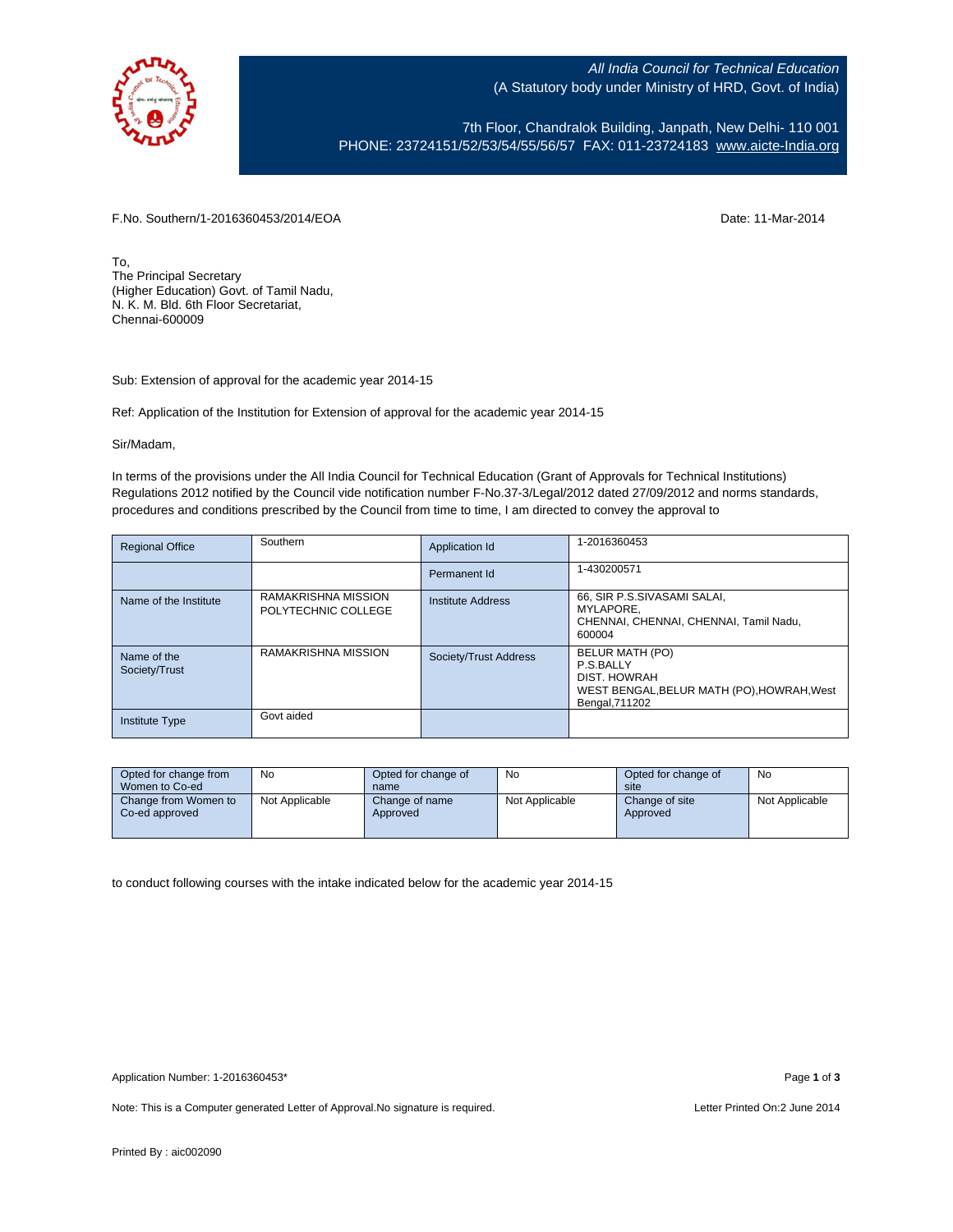

All India Council for Technical Education (A Statutory body under Ministry of HRD, Govt. of India)

7th Floor, Chandralok Building, Janpath, New Delhi- 110 001 PHONE: 23724151/52/53/54/55/56/57 FAX: 011-23724183 [www.aicte-India.org](http://www.aicte-india.org/)

F.No. Southern/1-2016360453/2014/EOA Date: 11-Mar-2014

To, The Principal Secretary (Higher Education) Govt. of Tamil Nadu, N. K. M. Bld. 6th Floor Secretariat, Chennai-600009

Sub: Extension of approval for the academic year 2014-15

Ref: Application of the Institution for Extension of approval for the academic year 2014-15

Sir/Madam,

In terms of the provisions under the All India Council for Technical Education (Grant of Approvals for Technical Institutions) Regulations 2012 notified by the Council vide notification number F-No.37-3/Legal/2012 dated 27/09/2012 and norms standards, procedures and conditions prescribed by the Council from time to time, I am directed to convey the approval to

| <b>Regional Office</b>       | Southern                                   | Application Id        | 1-2016360453                                                                                                 |
|------------------------------|--------------------------------------------|-----------------------|--------------------------------------------------------------------------------------------------------------|
|                              |                                            | Permanent Id          | 1-430200571                                                                                                  |
| Name of the Institute        | RAMAKRISHNA MISSION<br>POLYTECHNIC COLLEGE | Institute Address     | 66, SIR P.S.SIVASAMI SALAI,<br>MYLAPORE.<br>CHENNAI, CHENNAI, CHENNAI, Tamil Nadu.<br>600004                 |
| Name of the<br>Society/Trust | RAMAKRISHNA MISSION                        | Society/Trust Address | BELUR MATH (PO)<br>P.S.BALLY<br>DIST. HOWRAH<br>WEST BENGAL, BELUR MATH (PO), HOWRAH, West<br>Bengal, 711202 |
| <b>Institute Type</b>        | Govt aided                                 |                       |                                                                                                              |

| Opted for change from                  | No             | Opted for change of        | No             | Opted for change of        | No             |
|----------------------------------------|----------------|----------------------------|----------------|----------------------------|----------------|
| Women to Co-ed                         |                | name                       |                | site                       |                |
| Change from Women to<br>Co-ed approved | Not Applicable | Change of name<br>Approved | Not Applicable | Change of site<br>Approved | Not Applicable |

to conduct following courses with the intake indicated below for the academic year 2014-15

Note: This is a Computer generated Letter of Approval. No signature is required. Letter Printed On:2 June 2014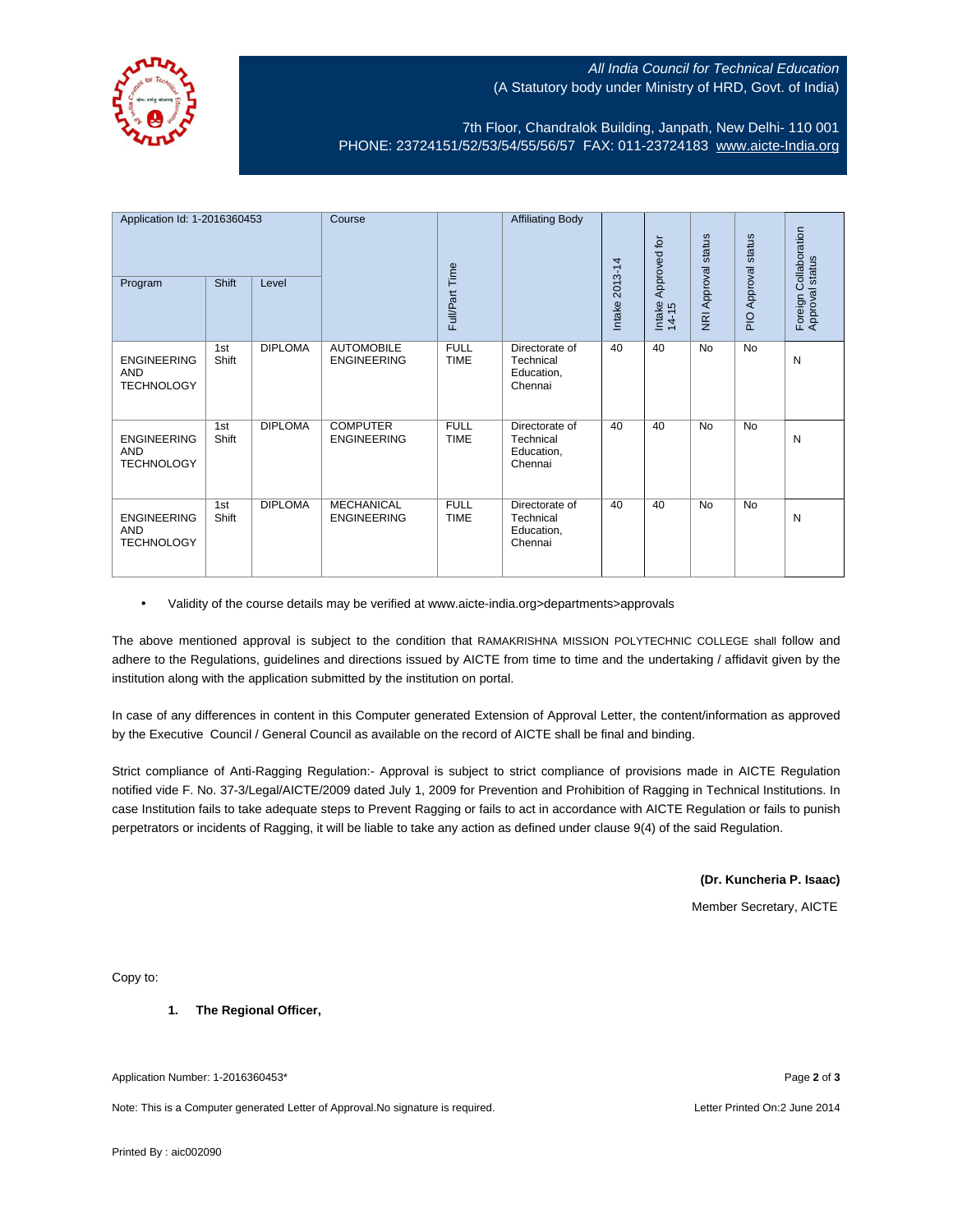

## All India Council for Technical Education (A Statutory body under Ministry of HRD, Govt. of India)

7th Floor, Chandralok Building, Janpath, New Delhi- 110 001 PHONE: 23724151/52/53/54/55/56/57 FAX: 011-23724183 [www.aicte-India.org](http://www.aicte-india.org/)

| Application Id: 1-2016360453<br>Program               | Shift        | Level          | Course                                  | Full/Part Time             | <b>Affiliating Body</b>                              | 2013-14<br>Intake | Approved for<br>Intake<br>14-15 | <b>NRI Approval status</b> | PIO Approval status | Foreign Collaboration<br>Approval status |
|-------------------------------------------------------|--------------|----------------|-----------------------------------------|----------------------------|------------------------------------------------------|-------------------|---------------------------------|----------------------------|---------------------|------------------------------------------|
| <b>ENGINEERING</b><br><b>AND</b><br><b>TECHNOLOGY</b> | 1st<br>Shift | <b>DIPLOMA</b> | <b>AUTOMOBILE</b><br><b>ENGINEERING</b> | <b>FULL</b><br><b>TIME</b> | Directorate of<br>Technical<br>Education,<br>Chennai | 40                | 40                              | <b>No</b>                  | <b>No</b>           | N                                        |
| <b>ENGINEERING</b><br>AND<br><b>TECHNOLOGY</b>        | 1st<br>Shift | <b>DIPLOMA</b> | <b>COMPUTER</b><br><b>ENGINEERING</b>   | <b>FULL</b><br><b>TIME</b> | Directorate of<br>Technical<br>Education,<br>Chennai | 40                | 40                              | <b>No</b>                  | <b>No</b>           | N                                        |
| <b>ENGINEERING</b><br><b>AND</b><br><b>TECHNOLOGY</b> | 1st<br>Shift | <b>DIPLOMA</b> | <b>MECHANICAL</b><br><b>ENGINEERING</b> | <b>FULL</b><br><b>TIME</b> | Directorate of<br>Technical<br>Education,<br>Chennai | 40                | 40                              | <b>No</b>                  | <b>No</b>           | N                                        |

• Validity of the course details may be verified at www.aicte-india.org>departments>approvals

The above mentioned approval is subject to the condition that RAMAKRISHNA MISSION POLYTECHNIC COLLEGE shall follow and adhere to the Regulations, guidelines and directions issued by AICTE from time to time and the undertaking / affidavit given by the institution along with the application submitted by the institution on portal.

In case of any differences in content in this Computer generated Extension of Approval Letter, the content/information as approved by the Executive Council / General Council as available on the record of AICTE shall be final and binding.

Strict compliance of Anti-Ragging Regulation:- Approval is subject to strict compliance of provisions made in AICTE Regulation notified vide F. No. 37-3/Legal/AICTE/2009 dated July 1, 2009 for Prevention and Prohibition of Ragging in Technical Institutions. In case Institution fails to take adequate steps to Prevent Ragging or fails to act in accordance with AICTE Regulation or fails to punish perpetrators or incidents of Ragging, it will be liable to take any action as defined under clause 9(4) of the said Regulation.

**(Dr. Kuncheria P. Isaac)**

Member Secretary, AICTE

Copy to:

**1. The Regional Officer,**

Application Number: 1-2016360453\* Page **2** of **3**

Note: This is a Computer generated Letter of Approval.No signature is required. Letter Printed On:2 June 2014